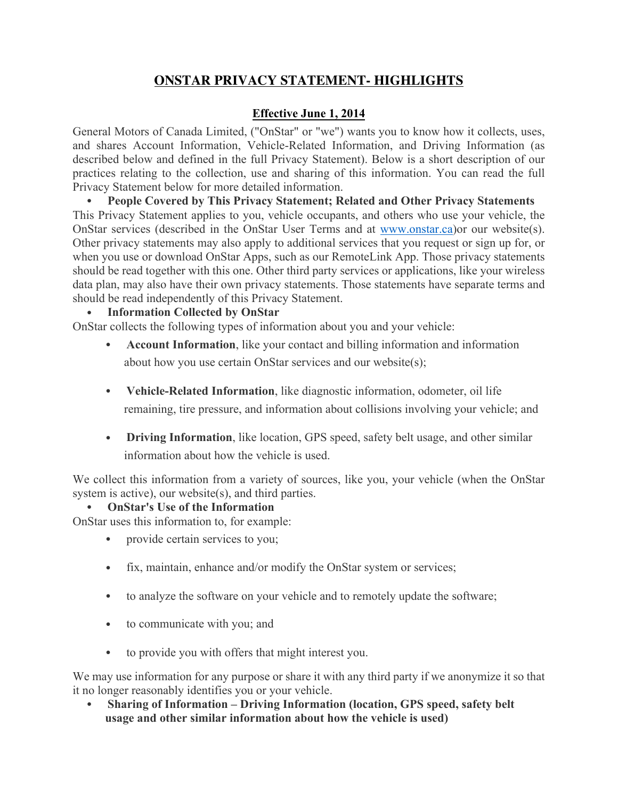# **ONSTAR PRIVACY STATEMENT- HIGHLIGHTS**

## **Effective June 1, 2014**

General Motors of Canada Limited, ("OnStar" or "we") wants you to know how it collects, uses, and shares Account Information, Vehicle-Related Information, and Driving Information (as described below and defined in the full Privacy Statement). Below is a short description of our practices relating to the collection, use and sharing of this information. You can read the full Privacy Statement below for more detailed information.

• **People Covered by This Privacy Statement; Related and Other Privacy Statements** This Privacy Statement applies to you, vehicle occupants, and others who use your vehicle, the OnStar services (described in the OnStar User Terms and at www.onstar.ca)or our website(s). Other privacy statements may also apply to additional services that you request or sign up for, or when you use or download OnStar Apps, such as our RemoteLink App. Those privacy statements should be read together with this one. Other third party services or applications, like your wireless data plan, may also have their own privacy statements. Those statements have separate terms and should be read independently of this Privacy Statement.

### • **Information Collected by OnStar**

OnStar collects the following types of information about you and your vehicle:

- **Account Information**, like your contact and billing information and information about how you use certain OnStar services and our website(s);
- **Vehicle-Related Information**, like diagnostic information, odometer, oil life remaining, tire pressure, and information about collisions involving your vehicle; and
- **Driving Information**, like location, GPS speed, safety belt usage, and other similar information about how the vehicle is used.

We collect this information from a variety of sources, like you, your vehicle (when the OnStar system is active), our website(s), and third parties.

### • **OnStar's Use of the Information**

OnStar uses this information to, for example:

- provide certain services to you;
- fix, maintain, enhance and/or modify the OnStar system or services;
- to analyze the software on your vehicle and to remotely update the software;
- to communicate with you; and
- to provide you with offers that might interest you.

We may use information for any purpose or share it with any third party if we anonymize it so that it no longer reasonably identifies you or your vehicle.

• **Sharing of Information – Driving Information (location, GPS speed, safety belt usage and other similar information about how the vehicle is used)**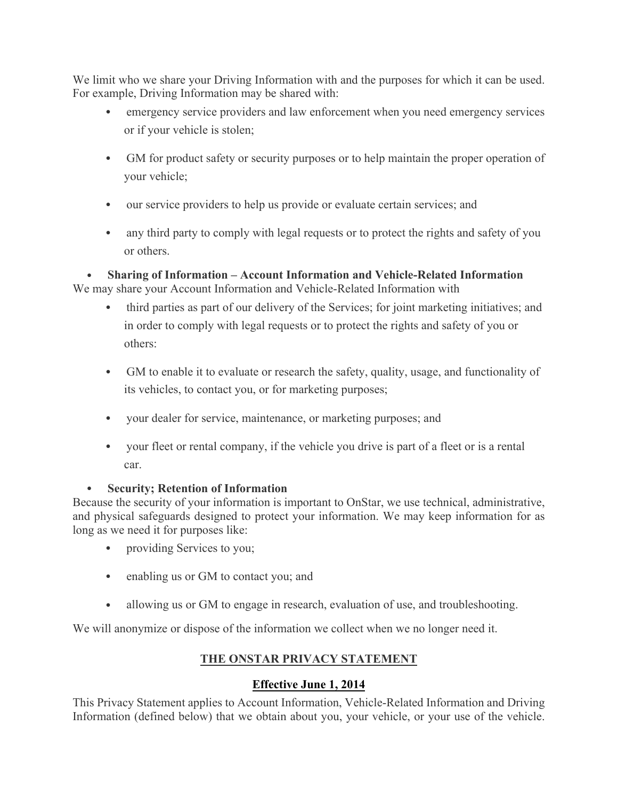We limit who we share your Driving Information with and the purposes for which it can be used. For example, Driving Information may be shared with:

- emergency service providers and law enforcement when you need emergency services or if your vehicle is stolen;
- GM for product safety or security purposes or to help maintain the proper operation of your vehicle;
- our service providers to help us provide or evaluate certain services; and
- any third party to comply with legal requests or to protect the rights and safety of you or others.

• **Sharing of Information – Account Information and Vehicle-Related Information** We may share your Account Information and Vehicle-Related Information with

- third parties as part of our delivery of the Services; for joint marketing initiatives; and in order to comply with legal requests or to protect the rights and safety of you or others:
- GM to enable it to evaluate or research the safety, quality, usage, and functionality of its vehicles, to contact you, or for marketing purposes;
- your dealer for service, maintenance, or marketing purposes; and
- your fleet or rental company, if the vehicle you drive is part of a fleet or is a rental car.

### • **Security; Retention of Information**

Because the security of your information is important to OnStar, we use technical, administrative, and physical safeguards designed to protect your information. We may keep information for as long as we need it for purposes like:

- providing Services to you;
- enabling us or GM to contact you; and
- allowing us or GM to engage in research, evaluation of use, and troubleshooting.

We will anonymize or dispose of the information we collect when we no longer need it.

## **THE ONSTAR PRIVACY STATEMENT**

## **Effective June 1, 2014**

This Privacy Statement applies to Account Information, Vehicle-Related Information and Driving Information (defined below) that we obtain about you, your vehicle, or your use of the vehicle.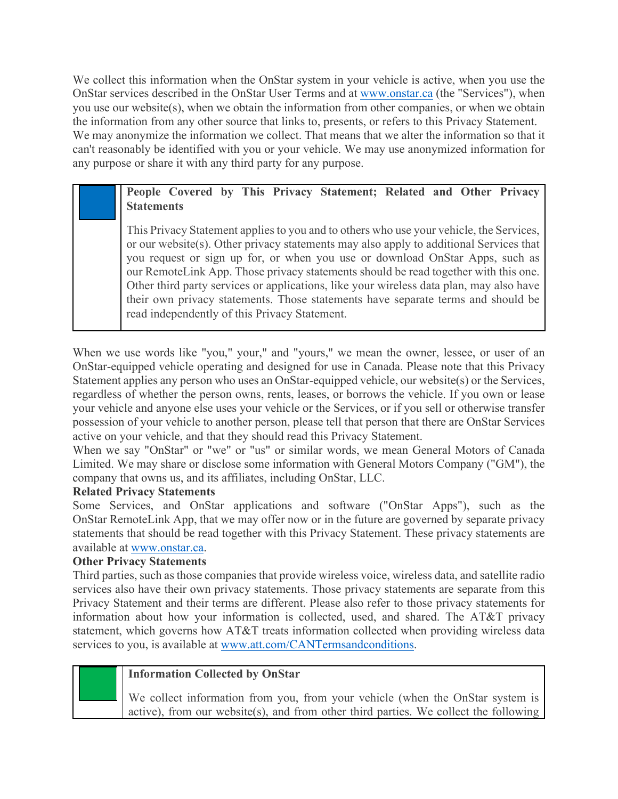We collect this information when the OnStar system in your vehicle is active, when you use the OnStar services described in the OnStar User Terms and at www.onstar.ca (the "Services"), when you use our website(s), when we obtain the information from other companies, or when we obtain the information from any other source that links to, presents, or refers to this Privacy Statement. We may anonymize the information we collect. That means that we alter the information so that it can't reasonably be identified with you or your vehicle. We may use anonymized information for any purpose or share it with any third party for any purpose.

## **People Covered by This Privacy Statement; Related and Other Privacy Statements**

This Privacy Statement applies to you and to others who use your vehicle, the Services, or our website(s). Other privacy statements may also apply to additional Services that you request or sign up for, or when you use or download OnStar Apps, such as our RemoteLink App. Those privacy statements should be read together with this one. Other third party services or applications, like your wireless data plan, may also have their own privacy statements. Those statements have separate terms and should be read independently of this Privacy Statement.

When we use words like "you," your," and "yours," we mean the owner, lessee, or user of an OnStar-equipped vehicle operating and designed for use in Canada. Please note that this Privacy Statement applies any person who uses an OnStar-equipped vehicle, our website(s) or the Services, regardless of whether the person owns, rents, leases, or borrows the vehicle. If you own or lease your vehicle and anyone else uses your vehicle or the Services, or if you sell or otherwise transfer possession of your vehicle to another person, please tell that person that there are OnStar Services active on your vehicle, and that they should read this Privacy Statement.

When we say "OnStar" or "we" or "us" or similar words, we mean General Motors of Canada Limited. We may share or disclose some information with General Motors Company ("GM"), the company that owns us, and its affiliates, including OnStar, LLC.

### **Related Privacy Statements**

Some Services, and OnStar applications and software ("OnStar Apps"), such as the OnStar RemoteLink App, that we may offer now or in the future are governed by separate privacy statements that should be read together with this Privacy Statement. These privacy statements are available at www.onstar.ca.

### **Other Privacy Statements**

Third parties, such as those companies that provide wireless voice, wireless data, and satellite radio services also have their own privacy statements. Those privacy statements are separate from this Privacy Statement and their terms are different. Please also refer to those privacy statements for information about how your information is collected, used, and shared. The AT&T privacy statement, which governs how AT&T treats information collected when providing wireless data services to you, is available at www.att.com/CANTermsandconditions.



### **Information Collected by OnStar**

We collect information from you, from your vehicle (when the OnStar system is active), from our website(s), and from other third parties. We collect the following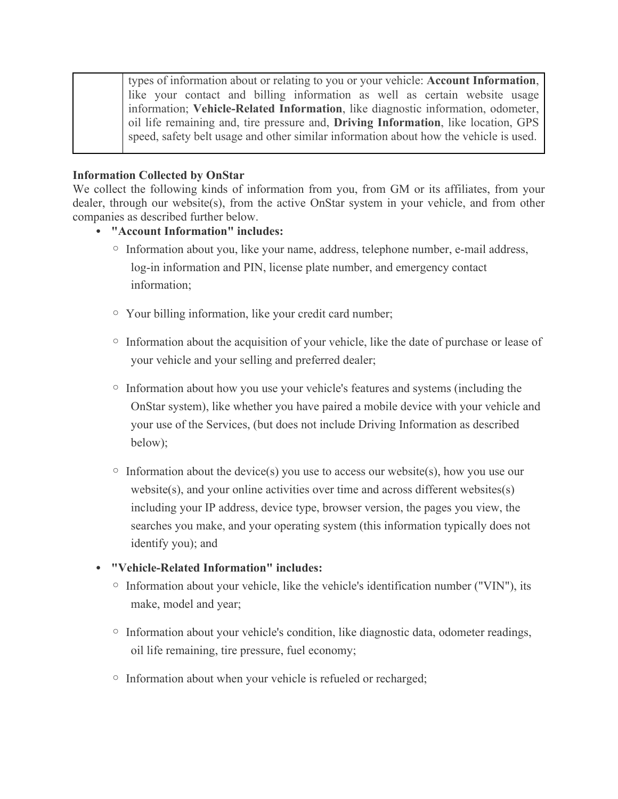| types of information about or relating to you or your vehicle: <b>Account Information</b> , |
|---------------------------------------------------------------------------------------------|
| like your contact and billing information as well as certain website usage                  |
| information; Vehicle-Related Information, like diagnostic information, odometer,            |
| oil life remaining and, tire pressure and, <b>Driving Information</b> , like location, GPS  |
| speed, safety belt usage and other similar information about how the vehicle is used.       |

#### **Information Collected by OnStar**

We collect the following kinds of information from you, from GM or its affiliates, from your dealer, through our website(s), from the active OnStar system in your vehicle, and from other companies as described further below.

#### • **"Account Information" includes:**

- o Information about you, like your name, address, telephone number, e-mail address, log-in information and PIN, license plate number, and emergency contact information;
- o Your billing information, like your credit card number;
- o Information about the acquisition of your vehicle, like the date of purchase or lease of your vehicle and your selling and preferred dealer;
- o Information about how you use your vehicle's features and systems (including the OnStar system), like whether you have paired a mobile device with your vehicle and your use of the Services, (but does not include Driving Information as described below);
- $\circ$  Information about the device(s) you use to access our website(s), how you use our website(s), and your online activities over time and across different websites(s) including your IP address, device type, browser version, the pages you view, the searches you make, and your operating system (this information typically does not identify you); and
- **"Vehicle-Related Information" includes:**
	- $\circ$  Information about your vehicle, like the vehicle's identification number ("VIN"), its make, model and year;
	- o Information about your vehicle's condition, like diagnostic data, odometer readings, oil life remaining, tire pressure, fuel economy;
	- o Information about when your vehicle is refueled or recharged;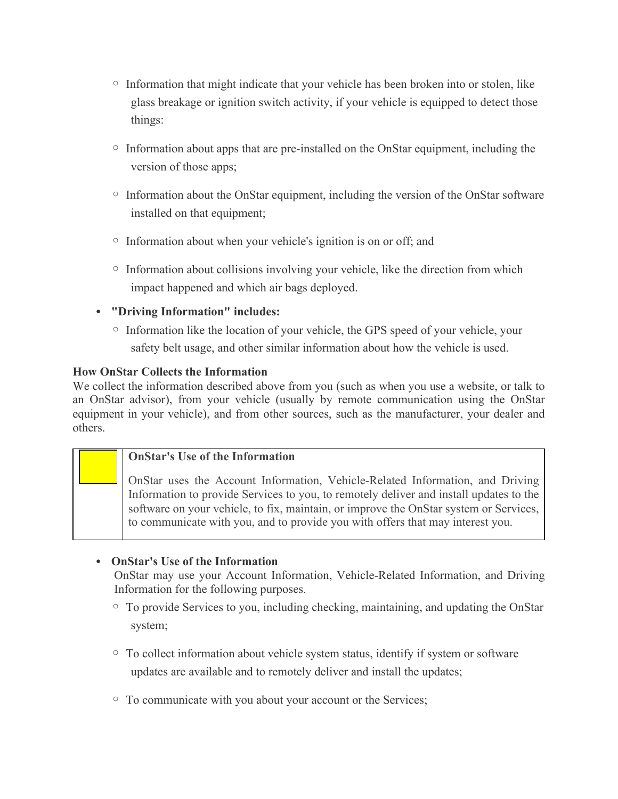- $\circ$  Information that might indicate that your vehicle has been broken into or stolen, like glass breakage or ignition switch activity, if your vehicle is equipped to detect those things:
- $\circ$  Information about apps that are pre-installed on the OnStar equipment, including the version of those apps;
- $\circ$  Information about the OnStar equipment, including the version of the OnStar software installed on that equipment;
- $\circ$  Information about when your vehicle's ignition is on or off; and
- $\circ$  Information about collisions involving your vehicle, like the direction from which impact happened and which air bags deployed.

### • **"Driving Information" includes:**

 $\circ$  Information like the location of your vehicle, the GPS speed of your vehicle, your safety belt usage, and other similar information about how the vehicle is used.

### **How OnStar Collects the Information**

We collect the information described above from you (such as when you use a website, or talk to an OnStar advisor), from your vehicle (usually by remote communication using the OnStar equipment in your vehicle), and from other sources, such as the manufacturer, your dealer and others.

### **OnStar's Use of the Information**

OnStar uses the Account Information, Vehicle-Related Information, and Driving Information to provide Services to you, to remotely deliver and install updates to the software on your vehicle, to fix, maintain, or improve the OnStar system or Services, to communicate with you, and to provide you with offers that may interest you.

### • **OnStar's Use of the Information**

OnStar may use your Account Information, Vehicle-Related Information, and Driving Information for the following purposes.

- o To provide Services to you, including checking, maintaining, and updating the OnStar system;
- $\circ$  To collect information about vehicle system status, identify if system or software updates are available and to remotely deliver and install the updates;
- <sup>o</sup> To communicate with you about your account or the Services;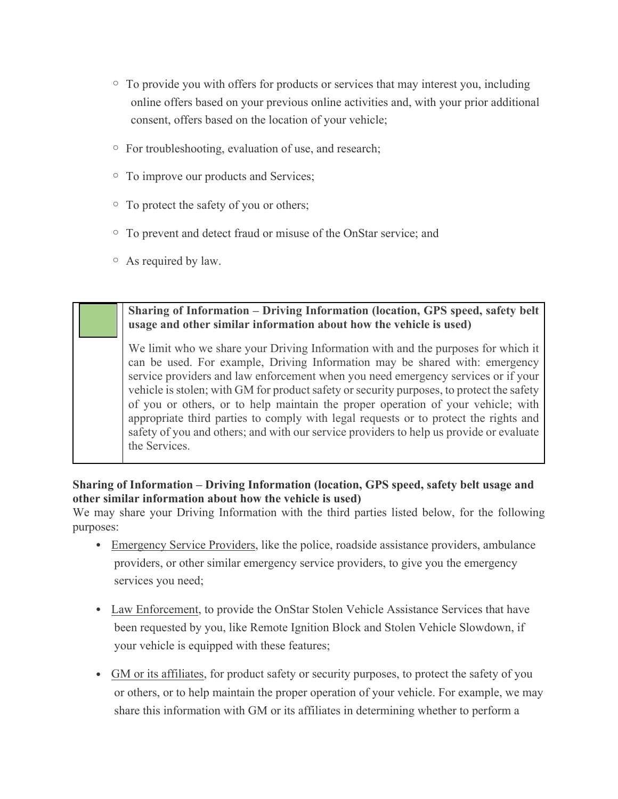- $\circ$  To provide you with offers for products or services that may interest you, including online offers based on your previous online activities and, with your prior additional consent, offers based on the location of your vehicle;
- o For troubleshooting, evaluation of use, and research;
- o To improve our products and Services;
- $\circ$  To protect the safety of you or others;
- o To prevent and detect fraud or misuse of the OnStar service; and
- o As required by law.

### **Sharing of Information – Driving Information (location, GPS speed, safety belt usage and other similar information about how the vehicle is used)**

We limit who we share your Driving Information with and the purposes for which it can be used. For example, Driving Information may be shared with: emergency service providers and law enforcement when you need emergency services or if your vehicle is stolen; with GM for product safety or security purposes, to protect the safety of you or others, or to help maintain the proper operation of your vehicle; with appropriate third parties to comply with legal requests or to protect the rights and safety of you and others; and with our service providers to help us provide or evaluate the Services.

### **Sharing of Information – Driving Information (location, GPS speed, safety belt usage and other similar information about how the vehicle is used)**

We may share your Driving Information with the third parties listed below, for the following purposes:

- Emergency Service Providers, like the police, roadside assistance providers, ambulance providers, or other similar emergency service providers, to give you the emergency services you need;
- Law Enforcement, to provide the OnStar Stolen Vehicle Assistance Services that have been requested by you, like Remote Ignition Block and Stolen Vehicle Slowdown, if your vehicle is equipped with these features;
- GM or its affiliates, for product safety or security purposes, to protect the safety of you or others, or to help maintain the proper operation of your vehicle. For example, we may share this information with GM or its affiliates in determining whether to perform a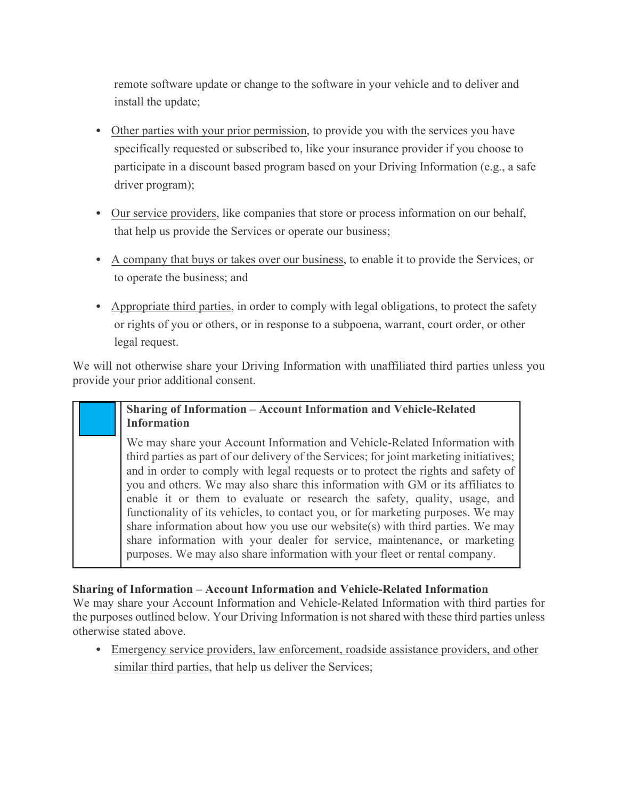remote software update or change to the software in your vehicle and to deliver and install the update;

- Other parties with your prior permission, to provide you with the services you have specifically requested or subscribed to, like your insurance provider if you choose to participate in a discount based program based on your Driving Information (e.g., a safe driver program);
- Our service providers, like companies that store or process information on our behalf, that help us provide the Services or operate our business;
- A company that buys or takes over our business, to enable it to provide the Services, or to operate the business; and
- Appropriate third parties, in order to comply with legal obligations, to protect the safety or rights of you or others, or in response to a subpoena, warrant, court order, or other legal request.

We will not otherwise share your Driving Information with unaffiliated third parties unless you provide your prior additional consent.

### **Sharing of Information – Account Information and Vehicle-Related Information**

We may share your Account Information and Vehicle-Related Information with third parties as part of our delivery of the Services; for joint marketing initiatives; and in order to comply with legal requests or to protect the rights and safety of you and others. We may also share this information with GM or its affiliates to enable it or them to evaluate or research the safety, quality, usage, and functionality of its vehicles, to contact you, or for marketing purposes. We may share information about how you use our website(s) with third parties. We may share information with your dealer for service, maintenance, or marketing purposes. We may also share information with your fleet or rental company.

### **Sharing of Information – Account Information and Vehicle-Related Information**

We may share your Account Information and Vehicle-Related Information with third parties for the purposes outlined below. Your Driving Information is not shared with these third parties unless otherwise stated above.

• Emergency service providers, law enforcement, roadside assistance providers, and other similar third parties, that help us deliver the Services;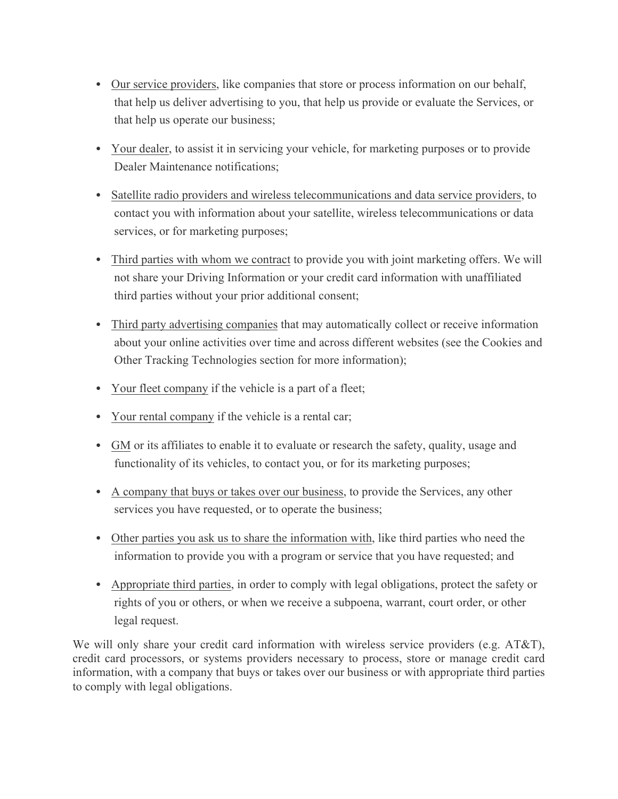- Our service providers, like companies that store or process information on our behalf, that help us deliver advertising to you, that help us provide or evaluate the Services, or that help us operate our business;
- Your dealer, to assist it in servicing your vehicle, for marketing purposes or to provide Dealer Maintenance notifications;
- Satellite radio providers and wireless telecommunications and data service providers, to contact you with information about your satellite, wireless telecommunications or data services, or for marketing purposes;
- Third parties with whom we contract to provide you with joint marketing offers. We will not share your Driving Information or your credit card information with unaffiliated third parties without your prior additional consent;
- Third party advertising companies that may automatically collect or receive information about your online activities over time and across different websites (see the Cookies and Other Tracking Technologies section for more information);
- Your fleet company if the vehicle is a part of a fleet;
- Your rental company if the vehicle is a rental car;
- GM or its affiliates to enable it to evaluate or research the safety, quality, usage and functionality of its vehicles, to contact you, or for its marketing purposes;
- A company that buys or takes over our business, to provide the Services, any other services you have requested, or to operate the business;
- Other parties you ask us to share the information with, like third parties who need the information to provide you with a program or service that you have requested; and
- Appropriate third parties, in order to comply with legal obligations, protect the safety or rights of you or others, or when we receive a subpoena, warrant, court order, or other legal request.

We will only share your credit card information with wireless service providers (e.g.  $AT&T$ ), credit card processors, or systems providers necessary to process, store or manage credit card information, with a company that buys or takes over our business or with appropriate third parties to comply with legal obligations.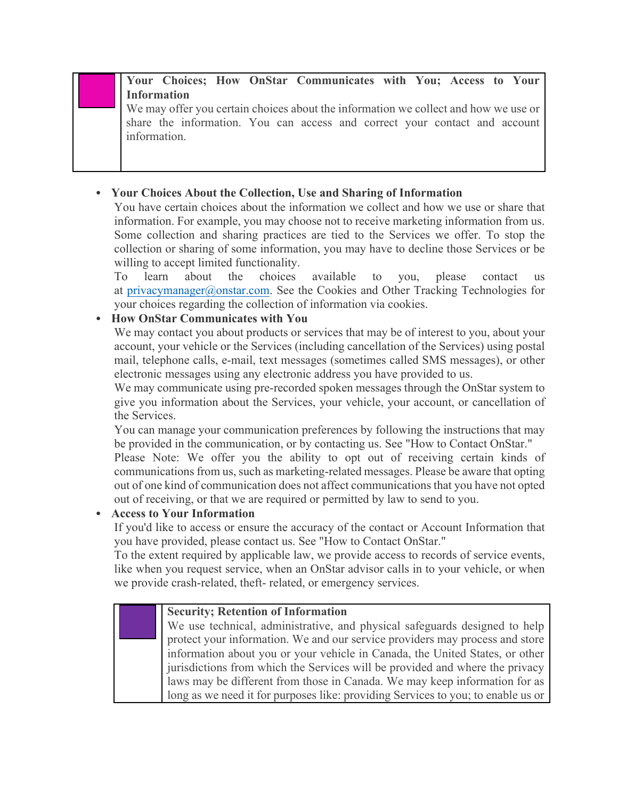**Your Choices; How OnStar Communicates with You; Access to Your Information**

We may offer you certain choices about the information we collect and how we use or share the information. You can access and correct your contact and account information.

### • **Your Choices About the Collection, Use and Sharing of Information**

You have certain choices about the information we collect and how we use or share that information. For example, you may choose not to receive marketing information from us. Some collection and sharing practices are tied to the Services we offer. To stop the collection or sharing of some information, you may have to decline those Services or be willing to accept limited functionality.

To learn about the choices available to you, please contact us at privacymanager@onstar.com. See the Cookies and Other Tracking Technologies for your choices regarding the collection of information via cookies.

## • **How OnStar Communicates with You**

We may contact you about products or services that may be of interest to you, about your account, your vehicle or the Services (including cancellation of the Services) using postal mail, telephone calls, e-mail, text messages (sometimes called SMS messages), or other electronic messages using any electronic address you have provided to us.

We may communicate using pre-recorded spoken messages through the OnStar system to give you information about the Services, your vehicle, your account, or cancellation of the Services.

You can manage your communication preferences by following the instructions that may be provided in the communication, or by contacting us. See "How to Contact OnStar."

Please Note: We offer you the ability to opt out of receiving certain kinds of communications from us, such as marketing-related messages. Please be aware that opting out of one kind of communication does not affect communications that you have not opted out of receiving, or that we are required or permitted by law to send to you.

### • **Access to Your Information**

If you'd like to access or ensure the accuracy of the contact or Account Information that you have provided, please contact us. See "How to Contact OnStar."

To the extent required by applicable law, we provide access to records of service events, like when you request service, when an OnStar advisor calls in to your vehicle, or when we provide crash-related, theft- related, or emergency services.

| <b>Security; Retention of Information</b>                                        |
|----------------------------------------------------------------------------------|
| We use technical, administrative, and physical safeguards designed to help       |
| protect your information. We and our service providers may process and store     |
| information about you or your vehicle in Canada, the United States, or other     |
| jurisdictions from which the Services will be provided and where the privacy     |
| laws may be different from those in Canada. We may keep information for as       |
| long as we need it for purposes like: providing Services to you; to enable us or |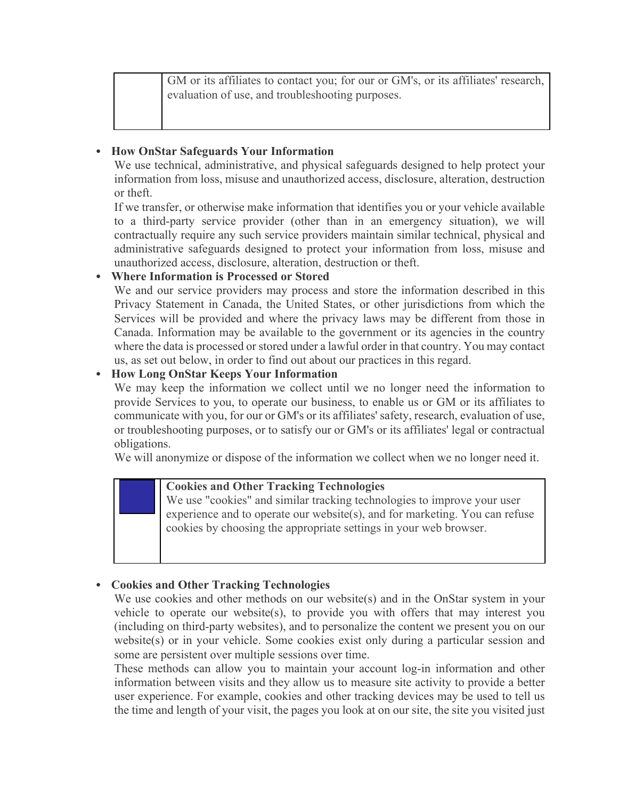GM or its affiliates to contact you; for our or GM's, or its affiliates' research, evaluation of use, and troubleshooting purposes.

### • **How OnStar Safeguards Your Information**

We use technical, administrative, and physical safeguards designed to help protect your information from loss, misuse and unauthorized access, disclosure, alteration, destruction or theft.

If we transfer, or otherwise make information that identifies you or your vehicle available to a third-party service provider (other than in an emergency situation), we will contractually require any such service providers maintain similar technical, physical and administrative safeguards designed to protect your information from loss, misuse and unauthorized access, disclosure, alteration, destruction or theft.

### • **Where Information is Processed or Stored**

We and our service providers may process and store the information described in this Privacy Statement in Canada, the United States, or other jurisdictions from which the Services will be provided and where the privacy laws may be different from those in Canada. Information may be available to the government or its agencies in the country where the data is processed or stored under a lawful order in that country. You may contact us, as set out below, in order to find out about our practices in this regard.

### • **How Long OnStar Keeps Your Information**

We may keep the information we collect until we no longer need the information to provide Services to you, to operate our business, to enable us or GM or its affiliates to communicate with you, for our or GM's or its affiliates' safety, research, evaluation of use, or troubleshooting purposes, or to satisfy our or GM's or its affiliates' legal or contractual obligations.

We will anonymize or dispose of the information we collect when we no longer need it.

### **Cookies and Other Tracking Technologies**

We use "cookies" and similar tracking technologies to improve your user experience and to operate our website(s), and for marketing. You can refuse cookies by choosing the appropriate settings in your web browser.

### • **Cookies and Other Tracking Technologies**

We use cookies and other methods on our website(s) and in the OnStar system in your vehicle to operate our website(s), to provide you with offers that may interest you (including on third-party websites), and to personalize the content we present you on our website(s) or in your vehicle. Some cookies exist only during a particular session and some are persistent over multiple sessions over time.

These methods can allow you to maintain your account log-in information and other information between visits and they allow us to measure site activity to provide a better user experience. For example, cookies and other tracking devices may be used to tell us the time and length of your visit, the pages you look at on our site, the site you visited just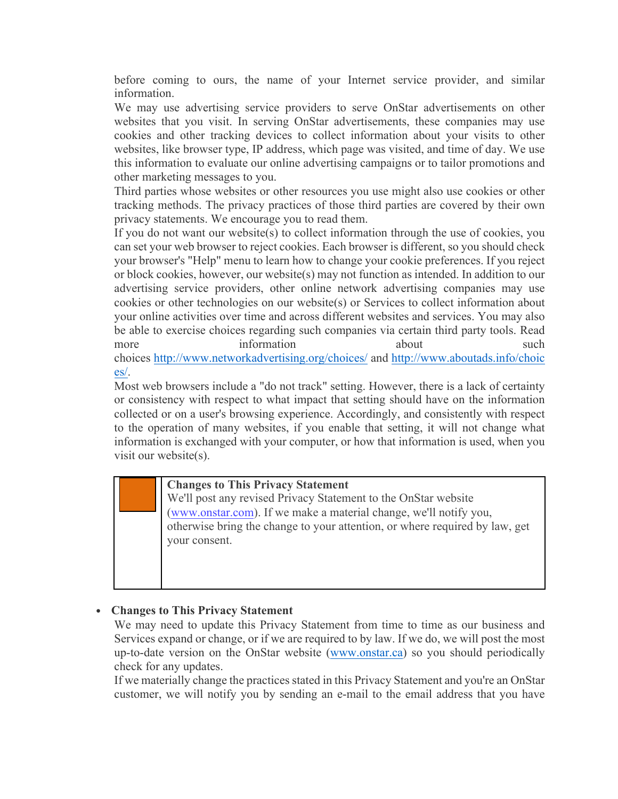before coming to ours, the name of your Internet service provider, and similar information.

We may use advertising service providers to serve OnStar advertisements on other websites that you visit. In serving OnStar advertisements, these companies may use cookies and other tracking devices to collect information about your visits to other websites, like browser type, IP address, which page was visited, and time of day. We use this information to evaluate our online advertising campaigns or to tailor promotions and other marketing messages to you.

Third parties whose websites or other resources you use might also use cookies or other tracking methods. The privacy practices of those third parties are covered by their own privacy statements. We encourage you to read them.

If you do not want our website(s) to collect information through the use of cookies, you can set your web browser to reject cookies. Each browser is different, so you should check your browser's "Help" menu to learn how to change your cookie preferences. If you reject or block cookies, however, our website(s) may not function as intended. In addition to our advertising service providers, other online network advertising companies may use cookies or other technologies on our website(s) or Services to collect information about your online activities over time and across different websites and services. You may also be able to exercise choices regarding such companies via certain third party tools. Read more information about such such choices http://www.networkadvertising.org/choices/ and http://www.aboutads.info/choic es/.

Most web browsers include a "do not track" setting. However, there is a lack of certainty or consistency with respect to what impact that setting should have on the information collected or on a user's browsing experience. Accordingly, and consistently with respect to the operation of many websites, if you enable that setting, it will not change what information is exchanged with your computer, or how that information is used, when you visit our website(s).

### **Changes to This Privacy Statement**

We'll post any revised Privacy Statement to the OnStar website (www.onstar.com). If we make a material change, we'll notify you, otherwise bring the change to your attention, or where required by law, get your consent.

### • **Changes to This Privacy Statement**

We may need to update this Privacy Statement from time to time as our business and Services expand or change, or if we are required to by law. If we do, we will post the most up-to-date version on the OnStar website (www.onstar.ca) so you should periodically check for any updates.

If we materially change the practices stated in this Privacy Statement and you're an OnStar customer, we will notify you by sending an e-mail to the email address that you have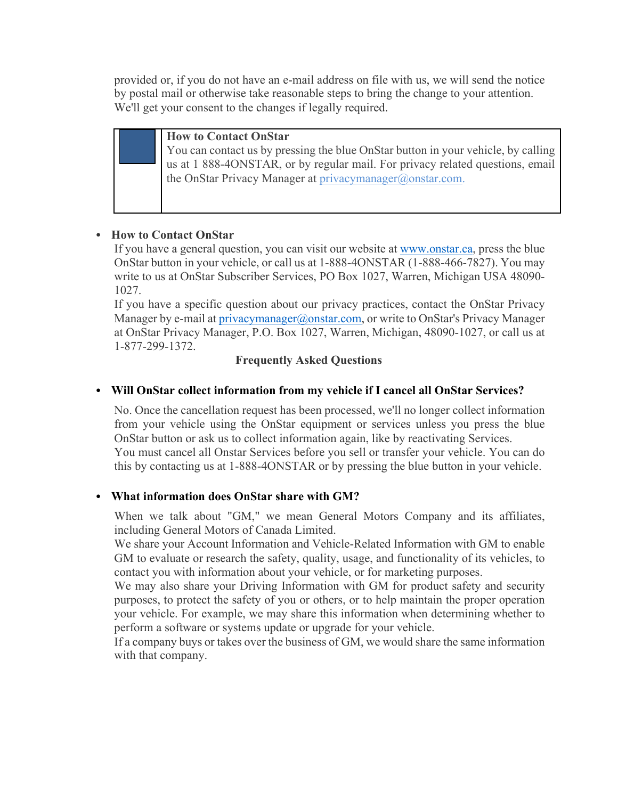provided or, if you do not have an e-mail address on file with us, we will send the notice by postal mail or otherwise take reasonable steps to bring the change to your attention. We'll get your consent to the changes if legally required.



#### **How to Contact OnStar**

You can contact us by pressing the blue OnStar button in your vehicle, by calling us at 1 888-4ONSTAR, or by regular mail. For privacy related questions, email the OnStar Privacy Manager at privacymanager@onstar.com.

### • **How to Contact OnStar**

If you have a general question, you can visit our website at www.onstar.ca, press the blue OnStar button in your vehicle, or call us at 1-888-4ONSTAR (1-888-466-7827). You may write to us at OnStar Subscriber Services, PO Box 1027, Warren, Michigan USA 48090- 1027.

If you have a specific question about our privacy practices, contact the OnStar Privacy Manager by e-mail at privacymanager@onstar.com, or write to OnStar's Privacy Manager at OnStar Privacy Manager, P.O. Box 1027, Warren, Michigan, 48090-1027, or call us at 1-877-299-1372.

### **Frequently Asked Questions**

### • **Will OnStar collect information from my vehicle if I cancel all OnStar Services?**

No. Once the cancellation request has been processed, we'll no longer collect information from your vehicle using the OnStar equipment or services unless you press the blue OnStar button or ask us to collect information again, like by reactivating Services. You must cancel all Onstar Services before you sell or transfer your vehicle. You can do this by contacting us at 1-888-4ONSTAR or by pressing the blue button in your vehicle.

### • **What information does OnStar share with GM?**

When we talk about "GM," we mean General Motors Company and its affiliates, including General Motors of Canada Limited.

We share your Account Information and Vehicle-Related Information with GM to enable GM to evaluate or research the safety, quality, usage, and functionality of its vehicles, to contact you with information about your vehicle, or for marketing purposes.

We may also share your Driving Information with GM for product safety and security purposes, to protect the safety of you or others, or to help maintain the proper operation your vehicle. For example, we may share this information when determining whether to perform a software or systems update or upgrade for your vehicle.

If a company buys or takes over the business of GM, we would share the same information with that company.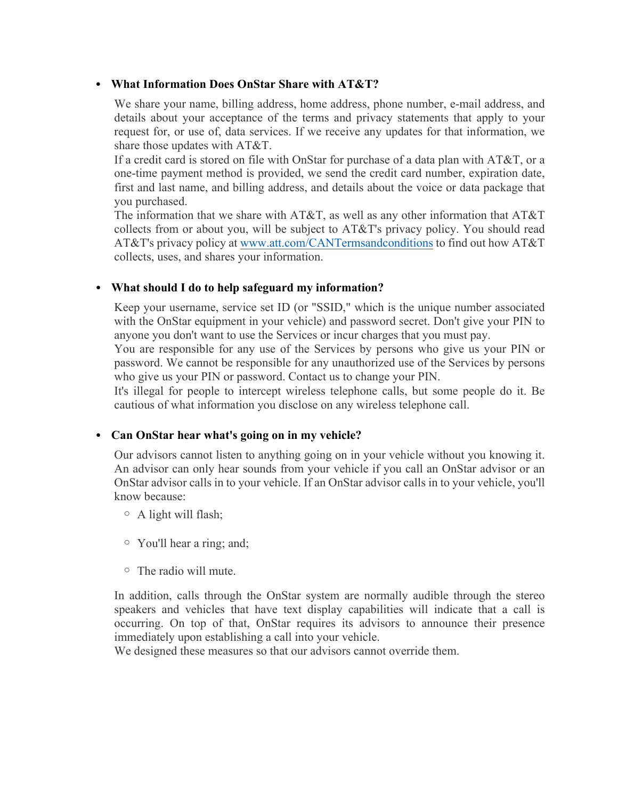#### • **What Information Does OnStar Share with AT&T?**

We share your name, billing address, home address, phone number, e-mail address, and details about your acceptance of the terms and privacy statements that apply to your request for, or use of, data services. If we receive any updates for that information, we share those updates with AT&T.

If a credit card is stored on file with OnStar for purchase of a data plan with AT&T, or a one-time payment method is provided, we send the credit card number, expiration date, first and last name, and billing address, and details about the voice or data package that you purchased.

The information that we share with AT&T, as well as any other information that AT&T collects from or about you, will be subject to AT&T's privacy policy. You should read AT&T's privacy policy at www.att.com/CANTermsandconditions to find out how AT&T collects, uses, and shares your information.

#### • **What should I do to help safeguard my information?**

Keep your username, service set ID (or "SSID," which is the unique number associated with the OnStar equipment in your vehicle) and password secret. Don't give your PIN to anyone you don't want to use the Services or incur charges that you must pay.

You are responsible for any use of the Services by persons who give us your PIN or password. We cannot be responsible for any unauthorized use of the Services by persons who give us your PIN or password. Contact us to change your PIN.

It's illegal for people to intercept wireless telephone calls, but some people do it. Be cautious of what information you disclose on any wireless telephone call.

#### • **Can OnStar hear what's going on in my vehicle?**

Our advisors cannot listen to anything going on in your vehicle without you knowing it. An advisor can only hear sounds from your vehicle if you call an OnStar advisor or an OnStar advisor calls in to your vehicle. If an OnStar advisor calls in to your vehicle, you'll know because:

- $\circ$  A light will flash;
- o You'll hear a ring; and;
- o The radio will mute.

In addition, calls through the OnStar system are normally audible through the stereo speakers and vehicles that have text display capabilities will indicate that a call is occurring. On top of that, OnStar requires its advisors to announce their presence immediately upon establishing a call into your vehicle.

We designed these measures so that our advisors cannot override them.